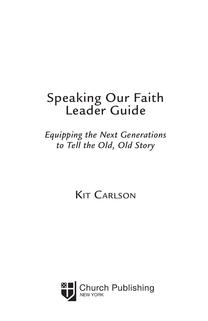# Speaking Our Faith Leader Guide

*Equipping the Next Generations to Tell the Old, Old Story*

**KIT CARLSON** 

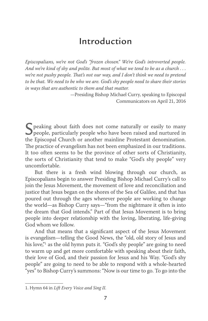*Episcopalians, we're not God's "frozen chosen." We're God's introverted people. And we're kind of shy and polite. But most of what we tend to be as a church . . . we're not pushy people. That's not our way, and I don't think we need to pretend to be that. We need to be who we are. God's shy people need to share their stories in ways that are authentic to them and that matter.* 

> *—*Presiding Bishop Michael Curry, speaking to Episcopal Communicators on April 21, 2016

Speaking about faith does not come naturally or easily to many people, particularly people who have been raised and nurtured in the Episcopal Church or another mainline Protestant denomination. The practice of evangelism has not been emphasized in our traditions. It too often seems to be the province of other sorts of Christianity, the sorts of Christianity that tend to make "God's shy people" very uncomfortable.

But there is a fresh wind blowing through our church, as Episcopalians begin to answer Presiding Bishop Michael Curry's call to join the Jesus Movement, the movement of love and reconciliation and justice that Jesus began on the shores of the Sea of Galilee, and that has poured out through the ages wherever people are working to change the world—as Bishop Curry says—"from the nightmare it often is into the dream that God intends." Part of that Jesus Movement is to bring people into deeper relationship with the loving, liberating, life-giving God whom we follow.

And that means that a significant aspect of the Jesus Movement is evangelism—telling the Good News, the "old, old story of Jesus and his love,"1 as the old hymn puts it. "God's shy people" are going to need to warm up and get more comfortable with speaking about their faith, their love of God, and their passion for Jesus and his Way. "God's shy people" are going to need to be able to respond with a whole-hearted "yes" to Bishop Curry's summons: "Now is our time to go. To go into the

<sup>1.</sup> Hymn 64 in *Lift Every Voice and Sing II*.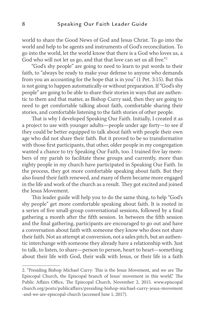world to share the Good News of God and Jesus Christ. To go into the world and help to be agents and instruments of God's reconciliation. To go into the world, let the world know that there is a God who loves us, a God who will not let us go, and that that love can set us all free."<sup>2</sup>

"God's shy people" are going to need to learn to put words to their faith, to "always be ready to make your defense to anyone who demands from you an accounting for the hope that is in you" (1 Pet. 3:15). But this is not going to happen automatically or without preparation. If "God's shy people" are going to be able to share their stories in ways that are authentic to them and that matter, as Bishop Curry said, then they are going to need to get comfortable talking about faith, comfortable sharing their stories, and comfortable listening to the faith stories of other people.

That is why I developed Speaking Our Faith. Initially, I created it as a project to use with younger adults—people under age forty—to see if they could be better equipped to talk about faith with people their own age who did not share their faith. But it proved to be so transformative with those first participants, that other, older people in my congregation wanted a chance to try Speaking Our Faith, too. I trained five lay members of my parish to facilitate these groups and currently, more than eighty people in my church have participated in Speaking Our Faith. In the process, they got more comfortable speaking about faith. But they also found their faith renewed, and many of them became more engaged in the life and work of the church as a result. They got excited and joined the Jesus Movement.

This leader guide will help you to do the same thing, to help "God's shy people" get more comfortable speaking about faith. It is rooted in a series of five small-group conversational sessions, followed by a final gathering a month after the fifth session. In between the fifth session and the final gathering, participants are encouraged to go out and have a conversation about faith with someone they know who does not share their faith. Not an attempt at conversion, not a sales pitch, but an authentic interchange with someone they already have a relationship with. Just to talk, to listen, to share—person to person, heart to heart—something about their life with God, their walk with Jesus, or their life in a faith

<sup>2. &</sup>quot;Presiding Bishop Michael Curry: This is the Jesus Movement, and we are The Episcopal Church, the Episcopal branch of Jesus' movement in this world," The Public Affairs Office, The Episcopal Church, November 2, 2015. www.episcopal church.org/posts/publicaffairs/presiding-bishop-michael-curry-jesus-movement -and-we-are-episcopal-church (accessed June 1, 2017).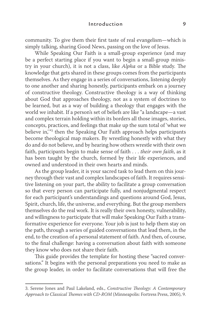community. To give them their first taste of real evangelism—which is simply talking, sharing Good News, passing on the love of Jesus.

While Speaking Our Faith is a small-group experience (and may be a perfect starting place if you want to begin a small-group ministry in your church), it is not a class, like *Alpha* or a Bible study. The knowledge that gets shared in these groups comes from the participants themselves. As they engage in a series of conversations, listening deeply to one another and sharing honestly, participants embark on a journey of constructive theology. Constructive theology is a way of thinking about God that approaches theology, not as a system of doctrines to be learned, but as a way of building a theology that engages with the world we inhabit. If a person's set of beliefs are like "a landscape—a vast and complex terrain holding within its borders all those images, stories, concepts, practices, and feelings that make up the sum total of 'what we believe in,'"3 then the Speaking Our Faith approach helps participants become theological map makers. By wrestling honestly with what they do and do not believe, and by hearing how others wrestle with their own faith, participants begin to make sense of faith . . . *their own faith*, as it has been taught by the church, formed by their life experiences, and owned and understood in their own hearts and minds.

As the group leader, it is your sacred task to lead them on this journey through their vast and complex landscapes of faith. It requires sensitive listening on your part, the ability to facilitate a group conversation so that every person can participate fully, and nonjudgmental respect for each participant's understandings and questions around God, Jesus, Spirit, church, life, the universe, and everything. But the group members themselves do the real work. It is really their own honesty, vulnerability, and willingness to participate that will make Speaking Our Faith a transformative experience for everyone. Your job is just to help them stay on the path, through a series of guided conversations that lead them, in the end, to the creation of a personal statement of faith. And then, of course, to the final challenge: having a conversation about faith with someone they know who does not share their faith.

This guide provides the template for hosting these "sacred conversations." It begins with the personal preparations you need to make as the group leader, in order to facilitate conversations that will free the

<sup>3.</sup> Serene Jones and Paul Lakeland, eds., *Constructive Theology: A Contemporary Approach to Classical Themes with CD-ROM* (Minneapolis: Fortress Press, 2005), 9.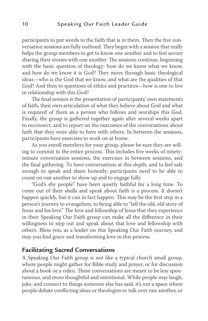participants to put words to the faith that is in them. Then the five conversation sessions are fully outlined. They begin with a session that really helps the group members to get to know one another and to feel secure sharing their stories with one another. The sessions continue, beginning with the basic question of theology: how do we know what we know, and how do we know it is God? They move through basic theological ideas—who is the God that we know, and what are the qualities of that God? And then to questions of ethics and practices—how is one to live in relationship with this God?

The final session is the presentation of participants' own statements of faith, their own articulation of what they believe about God and what is required of them as a person who follows and worships this God. Finally, the group is gathered together again after several weeks apart to reconnect, and to report on the outcomes of the conversations about faith that they were able to have with others. In between the sessions, participants have exercises to work on at home.

As you enroll members for your group, please be sure they are willing to commit to the entire process. This includes five weeks of ninetyminute conversation sessions, the exercises in between sessions, and the final gathering. To have conversations at this depth, and to feel safe enough to speak and share honestly, participants need to be able to count on one another to show up and to engage fully.

"God's shy people" have been quietly faithful for a long time. To come out of their shells and speak about faith is a process. It doesn't happen quickly, but it can in fact happen. This may be the first step in a person's journey to evangelism, to being able to "tell the old, old story of Jesus and his love." The love and fellowship of Jesus that they experience in their Speaking Our Faith group can make all the difference in their willingness to step out and speak about that love and fellowship with others. Bless you, as a leader on this Speaking Our Faith journey, and may you find grace and transforming love in this process.

#### **Facilitating Sacred Conversations**

A Speaking Our Faith group is not like a typical church small group, where people might gather for Bible study and prayer, or for discussion about a book or a video. These conversations are meant to be less spontaneous, and more thoughtful and intentional. While people may laugh, joke, and connect to things someone else has said, it's not a space where people debate conflicting ideas or theologies or talk over one another, or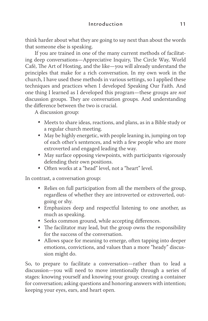think harder about what they are going to say next than about the words that someone else is speaking.

If you are trained in one of the many current methods of facilitating deep conversations—Appreciative Inquiry, The Circle Way, World Café, The Art of Hosting, and the like—you will already understand the principles that make for a rich conversation. In my own work in the church, I have used these methods in various settings, so I applied these techniques and practices when I developed Speaking Our Faith. And one thing I learned as I developed this program—these groups are *not* discussion groups. They are conversation groups. And understanding the difference between the two is crucial.

A discussion group:

- Meets to share ideas, reactions, and plans, as in a Bible study or a regular church meeting.
- May be highly energetic, with people leaning in, jumping on top of each other's sentences, and with a few people who are more extroverted and engaged leading the way.
- May surface opposing viewpoints, with participants vigorously defending their own positions.
- Often works at a "head" level, not a "heart" level.

In contrast, a conversation group:

- Relies on full participation from all the members of the group, regardless of whether they are introverted or extroverted, outgoing or shy.
- Emphasizes deep and respectful listening to one another, as much as speaking.
- Seeks common ground, while accepting differences.
- The facilitator may lead, but the group owns the responsibility for the success of the conversation.
- Allows space for meaning to emerge, often tapping into deeper emotions, convictions, and values than a more "heady" discussion might do.

So, to prepare to facilitate a conversation—rather than to lead a discussion—you will need to move intentionally through a series of stages: knowing yourself and knowing your group; creating a container for conversation; asking questions and honoring answers with intention; keeping your eyes, ears, and heart open.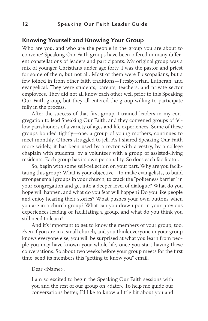#### **Knowing Yourself and Knowing Your Group**

Who are you, and who are the people in the group you are about to convene? Speaking Our Faith groups have been offered in many different constellations of leaders and participants. My original group was a mix of younger Christians under age forty. I was the pastor and priest for some of them, but not all. Most of them were Episcopalians, but a few joined in from other faith traditions—Presbyterian, Lutheran, and evangelical. They were students, parents, teachers, and private sector employees. They did not all know each other well prior to this Speaking Our Faith group, but they all entered the group willing to participate fully in the process.

After the success of that first group, I trained leaders in my congregation to lead Speaking Our Faith, and they convened groups of fellow parishioners of a variety of ages and life experiences. Some of these groups bonded tightly—one, a group of young mothers, continues to meet monthly. Others struggled to jell. As I shared Speaking Our Faith more widely, it has been used by a rector with a vestry, by a college chaplain with students, by a volunteer with a group of assisted-living residents. Each group has its own personality. So does each facilitator.

So, begin with some self-reflection on your part. Why are you facilitating this group? What is your objective—to make evangelists, to build stronger small groups in your church, to crack the "politeness barrier" in your congregation and get into a deeper level of dialogue? What do you hope will happen, and what do you fear will happen? Do you like people and enjoy hearing their stories? What pushes your own buttons when you are in a church group? What can you draw upon in your previous experiences leading or facilitating a group, and what do you think you still need to learn?

And it's important to get to know the members of your group, too. Even if you are in a small church, and you think everyone in your group knows everyone else, you will be surprised at what you learn from people you may have known your whole life, once you start having these conversations. So about two weeks before your group meets for the first time, send its members this "getting to know you" email.

#### Dear <Name>,

I am so excited to begin the Speaking Our Faith sessions with you and the rest of our group on <date>. To help me guide our conversations better, I'd like to know a little bit about you and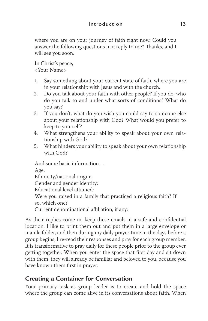where you are on your journey of faith right now. Could you answer the following questions in a reply to me? Thanks, and I will see you soon.

In Christ's peace, <Your Name>

- 1. Say something about your current state of faith, where you are in your relationship with Jesus and with the church.
- 2. Do you talk about your faith with other people? If you do, who do you talk to and under what sorts of conditions? What do you say?
- 3. If you don't, what do you wish you could say to someone else about your relationship with God? What would you prefer to keep to yourself?
- 4. What strengthens your ability to speak about your own relationship with God?
- 5. What hinders your ability to speak about your own relationship with God?

And some basic information . . . Age: Ethnicity/national origin: Gender and gender identity: Educational level attained: Were you raised in a family that practiced a religious faith? If so, which one? Current denominational affiliation, if any:

As their replies come in, keep these emails in a safe and confidential location. I like to print them out and put them in a large envelope or manila folder, and then during my daily prayer time in the days before a group begins, I re-read their responses and pray for each group member. It is transformative to pray daily for these people prior to the group ever getting together. When you enter the space that first day and sit down with them, they will already be familiar and beloved to you, because you have known them first in prayer.

## **Creating a Container for Conversation**

Your primary task as group leader is to create and hold the space where the group can come alive in its conversations about faith. When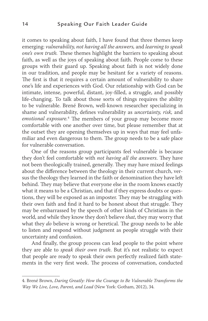#### 14 Speaking Our Faith Leader Guide

it comes to speaking about faith, I have found that three themes keep emerging: *vulnerability, not having all the answers,* and *learning to speak one's own truth.* These themes highlight the barriers to speaking about faith, as well as the joys of speaking about faith. People come to these groups with their guard up. Speaking about faith is not widely done in our tradition, and people may be hesitant for a variety of reasons. The first is that it requires a certain amount of vulnerability to share one's life and experiences with God. Our relationship with God can be intimate, intense, powerful, distant, joy-filled, a struggle, and possibly life-changing. To talk about those sorts of things requires the ability to be vulnerable. Brené Brown, well-known researcher specializing in shame and vulnerability, defines vulnerability as *uncertainty, risk,* and *emotional exposure.*<sup>4</sup> The members of your group may become more comfortable with one another over time, but please remember that at the outset they are opening themselves up in ways that may feel unfamiliar and even dangerous to them. The group needs to be a safe place for vulnerable conversation.

One of the reasons group participants feel vulnerable is because they don't feel comfortable with *not having all the answers*. They have not been theologically trained, generally. They may have mixed feelings about the difference between the theology in their current church, versus the theology they learned in the faith or denomination they have left behind. They may believe that everyone else in the room knows exactly what it means to be a Christian, and that if they express doubts or questions, they will be exposed as an imposter. They may be struggling with their own faith and find it hard to be honest about that struggle. They may be embarrassed by the speech of other kinds of Christians in the world, and while they know they don't believe *that*, they may worry that what they *do* believe is wrong or heretical. The group needs to be able to listen and respond without judgment as people struggle with their uncertainty and confusion.

And finally, the group process can lead people to the point where they are able to *speak their own truth*. But it's not realistic to expect that people are ready to speak their own perfectly realized faith statements in the very first week. The process of conversation, conducted

<sup>4.</sup> Brené Brown, *Daring Greatly: How the Courage to Be Vulnerable Transforms the Way We Live, Love, Parent, and Lead* (New York: Gotham, 2012), 34.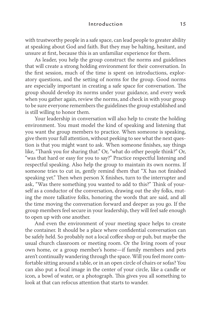with trustworthy people in a safe space, can lead people to greater ability at speaking about God and faith. But they may be halting, hesitant, and unsure at first, because this is an unfamiliar experience for them.

As leader, you help the group construct the norms and guidelines that will create a strong holding environment for their conversation. In the first session, much of the time is spent on introductions, exploratory questions, and the setting of norms for the group. Good norms are especially important in creating a safe space for conversation. The group should develop its norms under your guidance, and every week when you gather again, review the norms, and check in with your group to be sure everyone remembers the guidelines the group established and is still willing to honor them.

Your leadership in conversation will also help to create the holding environment. You must model the kind of speaking and listening that you want the group members to practice. When someone is speaking, give them your full attention, without peeking to see what the next question is that you might want to ask. When someone finishes, say things like, "Thank you for sharing that." Or, "what do other people think?" Or, "was that hard or easy for you to say?" Practice respectful listening and respectful speaking. Also help the group to maintain its own norms. If someone tries to cut in, gently remind them that "X has not finished speaking yet." Then when person X finishes, turn to the interrupter and ask, "Was there something you wanted to add to this?" Think of yourself as a conductor of the conversation, drawing out the shy folks, muting the more talkative folks, honoring the words that are said, and all the time moving the conversation forward and deeper as you go. If the group members feel secure in your leadership, they will feel safe enough to open up with one another.

And even the environment of your meeting space helps to create the container. It should be a place where confidential conversation can be safely held. So probably not a local coffee shop or pub, but maybe the usual church classroom or meeting room. Or the living room of your own home, or a group member's home—if family members and pets aren't continually wandering through the space. Will you feel more comfortable sitting around a table, or in an open circle of chairs or sofas? You can also put a focal image in the center of your circle, like a candle or icon, a bowl of water, or a photograph. This gives you all something to look at that can refocus attention that starts to wander.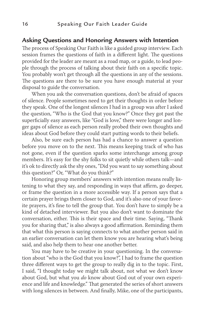## **Asking Questions and Honoring Answers with Intention**

The process of Speaking Our Faith is like a guided group interview. Each session frames the questions of faith in a different light. The questions provided for the leader are meant as a road map, or a guide, to lead people through the process of talking about their faith on a specific topic. You probably won't get through all the questions in any of the sessions. The questions are there to be sure you have enough material at your disposal to guide the conversation.

When you ask the conversation questions, don't be afraid of spaces of silence. People sometimes need to get their thoughts in order before they speak. One of the longest silences I had in a group was after I asked the question, "Who is the God that you know?" Once they got past the superficially easy answers, like "God is love," there were longer and longer gaps of silence as each person really probed their own thoughts and ideas about God before they could start putting words to their beliefs.

Also, be sure each person has had a chance to answer a question before you move on to the next. This means keeping track of who has not gone, even if the question sparks some interchange among group members. It's easy for the shy folks to sit quietly while others talk—and it's ok to directly ask the shy ones, "Did you want to say something about this question?" Or, "What do you think?"

Honoring group members' answers with intention means really listening to what they say, and responding in ways that affirm, go deeper, or frame the question in a more accessible way. If a person says that a certain prayer brings them closer to God, and it's also one of your favorite prayers, it's fine to tell the group that. You don't have to simply be a kind of detached interviewer. But you also don't want to dominate the conversation, either. This is their space and their time. Saying, "Thank you for sharing that," is also always a good affirmation. Reminding them that what this person is saying connects to what another person said in an earlier conversation can let them know you are hearing what's being said, and also help them to hear one another better.

You may have to be creative in your questioning. In the conversation about "who is the God that you know?", I had to frame the question three different ways to get the group to really dig in to the topic. First, I said, "I thought today we might talk about, not what we don't know about God, but what you *do* know about God out of your own experience and life and knowledge." That generated the series of short answers with long silences in between. And finally, Mike, one of the participants,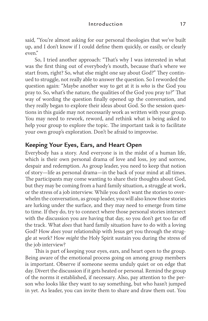said, "You're almost asking for our personal theologies that we've built up, and I don't know if I could define them quickly, or easily, or clearly even."

So, I tried another approach: "That's why I was interested in what was the first thing out of everybody's mouth, because that's where we start from, right? So, what else might one say about God?" They continued to struggle, not really able to answer the question. So I reworded the question again: "Maybe another way to get at it is *who* is the God you pray to. So, what's the nature, the qualities of the God you pray to?" That way of wording the question finally opened up the conversation, and they really began to explore their ideas about God. So the session questions in this guide may not necessarily work as written with your group. You may need to rework, reword, and rethink what is being asked to help your group to explore the topic. The important task is to facilitate your own group's exploration. Don't be afraid to improvise.

## **Keeping Your Eyes, Ears, and Heart Open**

Everybody has a story. And everyone is in the midst of a human life, which is their own personal drama of love and loss, joy and sorrow, despair and redemption. As group leader, you need to keep that notion of story—life as personal drama—in the back of your mind at all times. The participants may come wanting to share their thoughts about God, but they may be coming from a hard family situation, a struggle at work, or the stress of a job interview. While you don't want the stories to overwhelm the conversation, as group leader, you will also know those stories are lurking under the surface, and they may need to emerge from time to time. If they do, try to connect where those personal stories intersect with the discussion you are having that day, so you don't get too far off the track. What *does* that hard family situation have to do with a loving God? How *does* your relationship with Jesus get you through the struggle at work? How *might* the Holy Spirit sustain you during the stress of the job interview?

This is part of keeping your eyes, ears, and heart open to the group. Being aware of the emotional process going on among group members is important. Observe if someone seems unduly quiet or on edge that day. Divert the discussion if it gets heated or personal. Remind the group of the norms it established, if necessary. Also, pay attention to the person who looks like they want to say something, but who hasn't jumped in yet. As leader, you can invite them to share and draw them out. You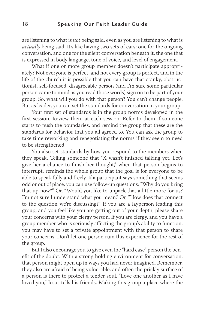are listening to what is *not* being said, even as you are listening to what is *actually* being said. It's like having two sets of ears: one for the ongoing conversation, and one for the silent conversation beneath it, the one that is expressed in body language, tone of voice, and level of engagement.

What if one or more group member doesn't participate appropriately? Not everyone is perfect, and not every group is perfect, and in the life of the church it is possible that you can have that cranky, obstructionist, self-focused, disagreeable person (and I'm sure some particular person came to mind as you read those words) sign on to be part of your group. So, what will you do with that person? You can't change people. But as leader, you can set the standards for conversation in your group.

Your first set of standards is in the group norms developed in the first session. Review them at each session. Refer to them if someone starts to push the boundaries, and remind the group that these are the standards for behavior that you all agreed to. You can ask the group to take time reworking and renegotiating the norms if they seem to need to be strengthened.

You also set standards by how you respond to the members when they speak. Telling someone that "X wasn't finished talking yet. Let's give her a chance to finish her thought," when that person begins to interrupt, reminds the whole group that the goal is for everyone to be able to speak fully and freely. If a participant says something that seems odd or out of place, you can use follow-up questions: "Why do you bring that up now?" Or, "Would you like to unpack that a little more for us? I'm not sure I understand what you mean." Or, "How does that connect to the question we're discussing?" If you are a layperson leading this group, and you feel like you are getting out of your depth, please share your concerns with your clergy person. If you are clergy, and you have a group member who is seriously affecting the group's ability to function, you may have to set a private appointment with that person to share your concerns. Don't let one person ruin this experience for the rest of the group.

But I also encourage you to give even the "hard case" person the benefit of the doubt. With a strong holding environment for conversation, that person might open up in ways you had never imagined. Remember, they also are afraid of being vulnerable, and often the prickly surface of a person is there to protect a tender soul. "Love one another as I have loved you," Jesus tells his friends. Making this group a place where the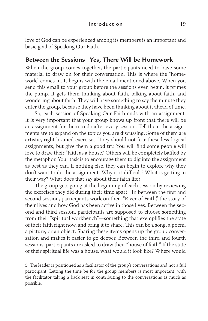love of God can be experienced among its members is an important and basic goal of Speaking Our Faith.

## **Between the Sessions—Yes, There Will be Homework**

When the group comes together, the participants need to have some material to draw on for their conversation. This is where the "homework" comes in. It begins with the email mentioned above. When you send this email to your group before the sessions even begin, it primes the pump. It gets them thinking about faith, talking about faith, and wondering about faith. They will have something to say the minute they enter the group, because they have been thinking about it ahead of time.

So, each session of Speaking Our Faith ends with an assignment. It is very important that your group knows up front that there will be an assignment for them to do after every session. Tell them the assignments are to expand on the topics you are discussing. Some of them are artistic, right-brained exercises. They should not fear these less-logical assignments, but give them a good try. You will find some people will love to draw their "faith as a house." Others will be completely baffled by the metaphor. Your task is to encourage them to dig into the assignment as best as they can. If nothing else, they can begin to explore why they don't want to do the assignment. Why is it difficult? What is getting in their way? What does that say about their faith life?

The group gets going at the beginning of each session by reviewing the exercises they did during their time apart.<sup>5</sup> In between the first and second session, participants work on their "River of Faith," the story of their lives and how God has been active in those lives. Between the second and third session, participants are supposed to choose something from their "spiritual workbench"—something that exemplifies the state of their faith right now, and bring it to share. This can be a song, a poem, a picture, or an object. Sharing these items opens up the group conversation and makes it easier to go deeper. Between the third and fourth sessions, participants are asked to draw their "house of faith." If the state of their spiritual life was a house, what would it look like? Where would

<sup>5.</sup> The leader is positioned as a facilitator of the group's conversations and not a full participant. Letting the time be for the group members is most important, with the facilitator taking a back seat in contributing to the conversations as much as possible.